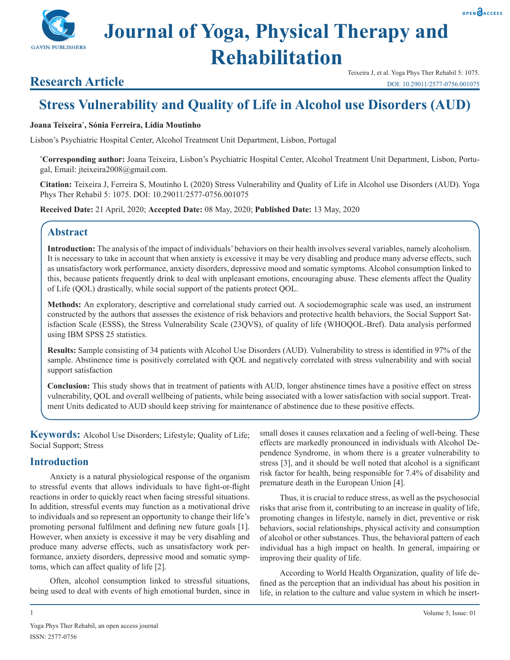# **Journal of Yoga, Physical Therapy and Rehabilitation**

# **Research Article**

**GAVIN PUBLISHERS** 

# **Stress Vulnerability and Quality of Life in Alcohol use Disorders (AUD)**

#### **Joana Teixeira\* , Sónia Ferreira, Lídia Moutinho**

Lisbon's Psychiatric Hospital Center, Alcohol Treatment Unit Department, Lisbon, Portugal

**\* Corresponding author:** Joana Teixeira, Lisbon's Psychiatric Hospital Center, Alcohol Treatment Unit Department, Lisbon, Portugal, Email: jteixeira2008@gmail.com.

**Citation:** Teixeira J, Ferreira S, Moutinho L (2020) Stress Vulnerability and Quality of Life in Alcohol use Disorders (AUD). Yoga Phys Ther Rehabil 5: 1075. DOI: 10.29011/2577-0756.001075

**Received Date:** 21 April, 2020; **Accepted Date:** 08 May, 2020; **Published Date:** 13 May, 2020

# **Abstract**

**Introduction:** The analysis of the impact of individuals' behaviors on their health involves several variables, namely alcoholism. It is necessary to take in account that when anxiety is excessive it may be very disabling and produce many adverse effects, such as unsatisfactory work performance, anxiety disorders, depressive mood and somatic symptoms. Alcohol consumption linked to this, because patients frequently drink to deal with unpleasant emotions, encouraging abuse. These elements affect the Quality of Life (QOL) drastically, while social support of the patients protect QOL.

**Methods:** An exploratory, descriptive and correlational study carried out. A sociodemographic scale was used, an instrument constructed by the authors that assesses the existence of risk behaviors and protective health behaviors, the Social Support Satisfaction Scale (ESSS), the Stress Vulnerability Scale (23QVS), of quality of life (WHOQOL-Bref). Data analysis performed using IBM SPSS 25 statistics.

**Results:** Sample consisting of 34 patients with Alcohol Use Disorders (AUD). Vulnerability to stress is identified in 97% of the sample. Abstinence time is positively correlated with QOL and negatively correlated with stress vulnerability and with social support satisfaction

**Conclusion:** This study shows that in treatment of patients with AUD, longer abstinence times have a positive effect on stress vulnerability, QOL and overall wellbeing of patients, while being associated with a lower satisfaction with social support. Treatment Units dedicated to AUD should keep striving for maintenance of abstinence due to these positive effects.

**Keywords:** Alcohol Use Disorders; Lifestyle; Quality of Life; Social Support; Stress

# **Introduction**

Anxiety is a natural physiological response of the organism to stressful events that allows individuals to have fight-or-flight reactions in order to quickly react when facing stressful situations. In addition, stressful events may function as a motivational drive to individuals and so represent an opportunity to change their life's promoting personal fulfilment and defining new future goals [1]. However, when anxiety is excessive it may be very disabling and produce many adverse effects, such as unsatisfactory work performance, anxiety disorders, depressive mood and somatic symptoms, which can affect quality of life [2].

Often, alcohol consumption linked to stressful situations, being used to deal with events of high emotional burden, since in small doses it causes relaxation and a feeling of well-being. These effects are markedly pronounced in individuals with Alcohol Dependence Syndrome, in whom there is a greater vulnerability to stress [3], and it should be well noted that alcohol is a significant risk factor for health, being responsible for 7.4% of disability and premature death in the European Union [4].

Thus, it is crucial to reduce stress, as well as the psychosocial risks that arise from it, contributing to an increase in quality of life, promoting changes in lifestyle, namely in diet, preventive or risk behaviors, social relationships, physical activity and consumption of alcohol or other substances. Thus, the behavioral pattern of each individual has a high impact on health. In general, impairing or improving their quality of life.

According to World Health Organization, quality of life defined as the perception that an individual has about his position in life, in relation to the culture and value system in which he insert-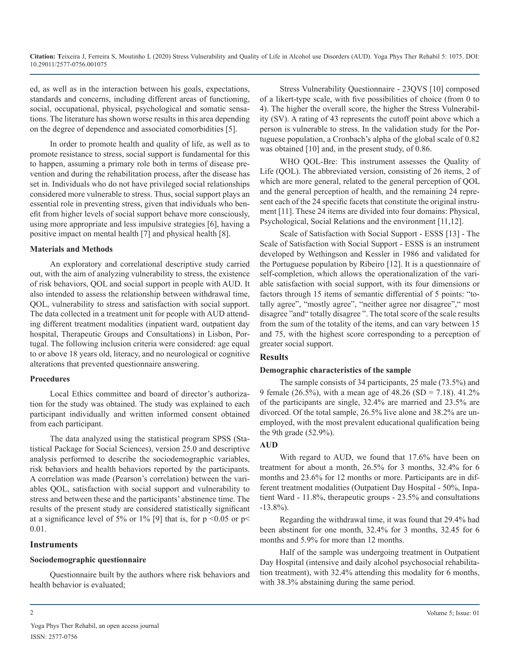ed, as well as in the interaction between his goals, expectations, standards and concerns, including different areas of functioning, social, occupational, physical, psychological and somatic sensations. The literature has shown worse results in this area depending on the degree of dependence and associated comorbidities [5].

In order to promote health and quality of life, as well as to promote resistance to stress, social support is fundamental for this to happen, assuming a primary role both in terms of disease prevention and during the rehabilitation process, after the disease has set in. Individuals who do not have privileged social relationships considered more vulnerable to stress. Thus, social support plays an essential role in preventing stress, given that individuals who benefit from higher levels of social support behave more consciously, using more appropriate and less impulsive strategies [6], having a positive impact on mental health [7] and physical health [8].

#### **Materials and Methods**

An exploratory and correlational descriptive study carried out, with the aim of analyzing vulnerability to stress, the existence of risk behaviors, QOL and social support in people with AUD. It also intended to assess the relationship between withdrawal time, QOL, vulnerability to stress and satisfaction with social support. The data collected in a treatment unit for people with AUD attending different treatment modalities (inpatient ward, outpatient day hospital, Therapeutic Groups and Consultations) in Lisbon, Portugal. The following inclusion criteria were considered: age equal to or above 18 years old, literacy, and no neurological or cognitive alterations that prevented questionnaire answering.

#### **Procedures**

Local Ethics committee and board of director's authorization for the study was obtained. The study was explained to each participant individually and written informed consent obtained from each participant.

The data analyzed using the statistical program SPSS (Statistical Package for Social Sciences), version 25.0 and descriptive analysis performed to describe the sociodemographic variables, risk behaviors and health behaviors reported by the participants. A correlation was made (Pearson's correlation) between the variables QOL, satisfaction with social support and vulnerability to stress and between these and the participants' abstinence time. The results of the present study are considered statistically significant at a significance level of 5% or 1% [9] that is, for  $p < 0.05$  or  $p <$ 0.01.

#### **Instruments**

#### **Sociodemographic questionnaire**

Questionnaire built by the authors where risk behaviors and health behavior is evaluated;

Stress Vulnerability Questionnaire - 23QVS [10] composed of a likert-type scale, with five possibilities of choice (from 0 to 4). The higher the overall score, the higher the Stress Vulnerability (SV). A rating of 43 represents the cutoff point above which a person is vulnerable to stress. In the validation study for the Portuguese population, a Cronbach's alpha of the global scale of 0.82 was obtained [10] and, in the present study, of 0.86.

WHO QOL-Bre: This instrument assesses the Quality of Life (QOL). The abbreviated version, consisting of 26 items, 2 of which are more general, related to the general perception of QOL and the general perception of health, and the remaining 24 represent each of the 24 specific facets that constitute the original instrument [11]. These 24 items are divided into four domains: Physical, Psychological, Social Relations and the environment [11,12].

Scale of Satisfaction with Social Support - ESSS [13] - The Scale of Satisfaction with Social Support - ESSS is an instrument developed by Wethingson and Kessler in 1986 and validated for the Portuguese population by Ribeiro [12]. It is a questionnaire of self-completion, which allows the operationalization of the variable satisfaction with social support, with its four dimensions or factors through 15 items of semantic differential of 5 points: "totally agree", "mostly agree", "neither agree nor disagree"," most disagree "and" totally disagree ". The total score of the scale results from the sum of the totality of the items, and can vary between 15 and 75, with the highest score corresponding to a perception of greater social support.

## **Results**

#### **Demographic characteristics of the sample**

The sample consists of 34 participants, 25 male (73.5%) and 9 female (26.5%), with a mean age of  $48.26$  (SD = 7.18).  $41.2\%$ of the participants are single, 32.4% are married and 23.5% are divorced. Of the total sample, 26.5% live alone and 38.2% are unemployed, with the most prevalent educational qualification being the 9th grade (52.9%).

#### **AUD**

With regard to AUD, we found that 17.6% have been on treatment for about a month, 26.5% for 3 months, 32.4% for 6 months and 23.6% for 12 months or more. Participants are in different treatment modalities (Outpatient Day Hospital - 50%, Inpatient Ward - 11.8%, therapeutic groups - 23.5% and consultations -13.8%).

Regarding the withdrawal time, it was found that 29.4% had been abstinent for one month, 32.4% for 3 months, 32.45 for 6 months and 5.9% for more than 12 months.

Half of the sample was undergoing treatment in Outpatient Day Hospital (intensive and daily alcohol psychosocial rehabilitation treatment), with 32.4% attending this modality for 6 months, with 38.3% abstaining during the same period.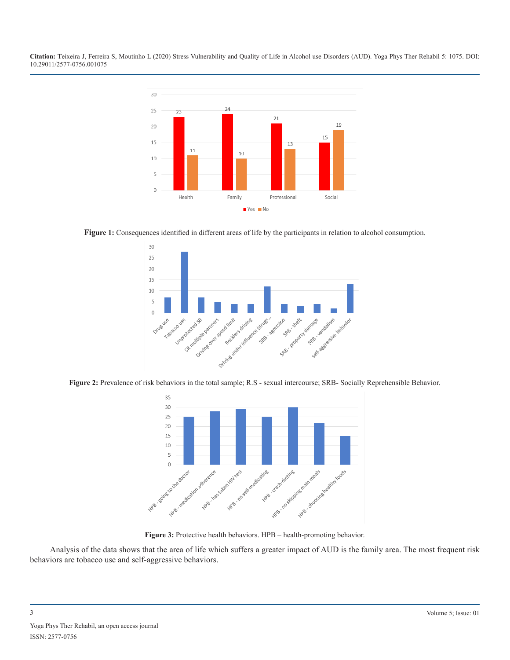

**Figure 1:** Consequences identified in different areas of life by the participants in relation to alcohol consumption.







**Figure 3:** Protective health behaviors. HPB – health-promoting behavior.

Analysis of the data shows that the area of life which suffers a greater impact of AUD is the family area. The most frequent risk behaviors are tobacco use and self-aggressive behaviors.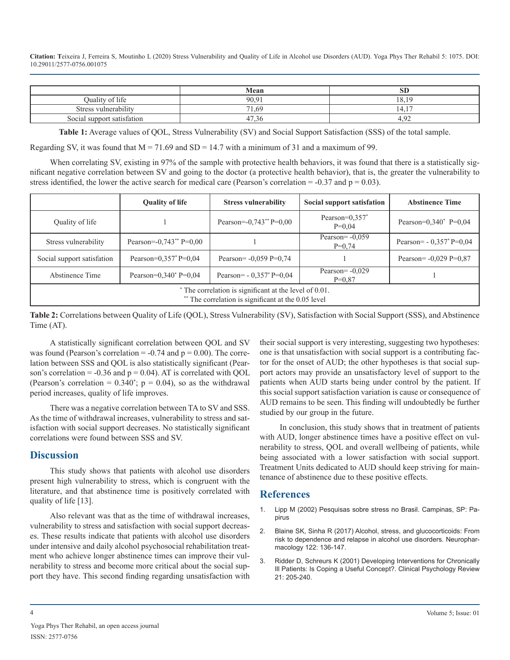|                            | Mean                | ЮL                  |
|----------------------------|---------------------|---------------------|
| Quality of life            | 90.91               | 10<br>18.           |
| Stress vulnerability       | 71.69               | 1 <sub>7</sub><br>4 |
| Social support satisfation | $\sim$<br>4.<br>.50 | ്പ<br>т. ∠∠         |

**Table 1:** Average values of QOL, Stress Vulnerability (SV) and Social Support Satisfaction (SSS) of the total sample.

Regarding SV, it was found that  $M = 71.69$  and SD = 14.7 with a minimum of 31 and a maximum of 99.

When correlating SV, existing in 97% of the sample with protective health behaviors, it was found that there is a statistically significant negative correlation between SV and going to the doctor (a protective health behavior), that is, the greater the vulnerability to stress identified, the lower the active search for medical care (Pearson's correlation  $= -0.37$  and  $p = 0.03$ ).

|                                                                                                             | <b>Quality of life</b>                  | <b>Stress vulnerability</b>              | Social support satisfation                | <b>Abstinence Time</b>                   |  |
|-------------------------------------------------------------------------------------------------------------|-----------------------------------------|------------------------------------------|-------------------------------------------|------------------------------------------|--|
| Quality of life                                                                                             |                                         | Pearson= $-0.743**$ P= $0.00$            | Pearson= $0,357$ <sup>*</sup><br>$P=0.04$ | Pearson= $0.340^*$ P= $0.04$             |  |
| Stress vulnerability                                                                                        | Pearson= $-0.743**$ P= $0.00$           |                                          | Pearson= $-0,059$<br>$P=0.74$             | Pearson= $-0.357$ <sup>*</sup> P= $0.04$ |  |
| Social support satisfation                                                                                  | Pearson= $0.357$ <sup>*</sup> P= $0.04$ | Pearson= $-0.059$ P= $0.74$              |                                           | Pearson= $-0,029$ P= $0,87$              |  |
| Abstinence Time                                                                                             | Pearson= $0.340^{\circ}$ P= $0.04$      | Pearson= $-0.357$ <sup>*</sup> P= $0.04$ | Pearson= $-0.029$<br>$P=0.87$             |                                          |  |
| The correlation is significant at the level of 0.01.<br>** The correlation is significant at the 0.05 level |                                         |                                          |                                           |                                          |  |

**Table 2:** Correlations between Quality of Life (QOL), Stress Vulnerability (SV), Satisfaction with Social Support (SSS), and Abstinence Time (AT).

A statistically significant correlation between QOL and SV was found (Pearson's correlation  $= -0.74$  and  $p = 0.00$ ). The correlation between SSS and QOL is also statistically significant (Pearson's correlation =  $-0.36$  and  $p = 0.04$ ). AT is correlated with QOL (Pearson's correlation =  $0.340^{\circ}$ ; p = 0.04), so as the withdrawal period increases, quality of life improves.

There was a negative correlation between TA to SV and SSS. As the time of withdrawal increases, vulnerability to stress and satisfaction with social support decreases. No statistically significant correlations were found between SSS and SV.

### **Discussion**

This study shows that patients with alcohol use disorders present high vulnerability to stress, which is congruent with the literature, and that abstinence time is positively correlated with quality of life [13].

Also relevant was that as the time of withdrawal increases, vulnerability to stress and satisfaction with social support decreases. These results indicate that patients with alcohol use disorders under intensive and daily alcohol psychosocial rehabilitation treatment who achieve longer abstinence times can improve their vulnerability to stress and become more critical about the social support they have. This second finding regarding unsatisfaction with

their social support is very interesting, suggesting two hypotheses: one is that unsatisfaction with social support is a contributing factor for the onset of AUD; the other hypotheses is that social support actors may provide an unsatisfactory level of support to the patients when AUD starts being under control by the patient. If this social support satisfaction variation is cause or consequence of AUD remains to be seen. This finding will undoubtedly be further studied by our group in the future.

In conclusion, this study shows that in treatment of patients with AUD, longer abstinence times have a positive effect on vulnerability to stress, QOL and overall wellbeing of patients, while being associated with a lower satisfaction with social support. Treatment Units dedicated to AUD should keep striving for maintenance of abstinence due to these positive effects.

### **References**

- 1. Lipp M (2002) Pesquisas sobre stress no Brasil. Campinas, SP: Papirus
- 2. [Blaine SK, Sinha R \(2017\) Alcohol, stress, and glucocorticoids: From](https://www.ncbi.nlm.nih.gov/pubmed/28159647)  [risk to dependence and relapse in alcohol use disorders. Neurophar](https://www.ncbi.nlm.nih.gov/pubmed/28159647)[macology 122: 136-147.](https://www.ncbi.nlm.nih.gov/pubmed/28159647)
- 3. [Ridder D, Schreurs K \(2001\) Developing Interventions for Chronically](https://www.ncbi.nlm.nih.gov/pubmed/11293366)  Ill Patients: Is Coping a Useful Concept?. Clinical Psychology Review [21: 205-240.](https://www.ncbi.nlm.nih.gov/pubmed/11293366)